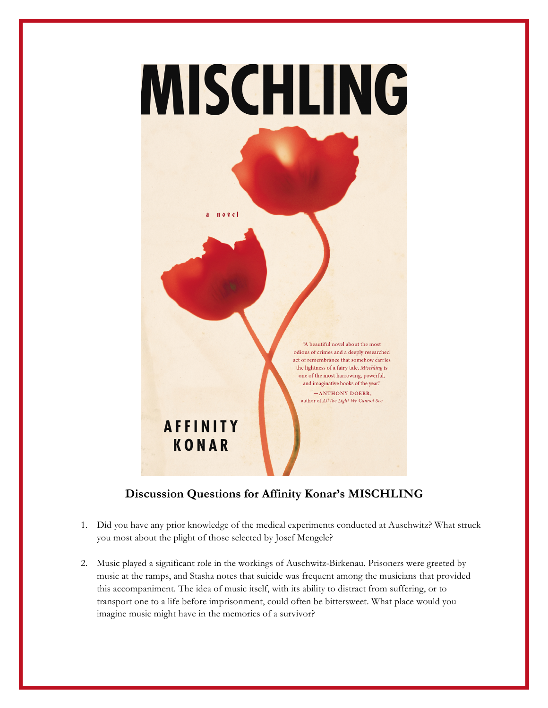

## **Discussion Questions for Affinity Konar's MISCHLING**

- 1. Did you have any prior knowledge of the medical experiments conducted at Auschwitz? What struck you most about the plight of those selected by Josef Mengele?
- 2. Music played a significant role in the workings of Auschwitz-Birkenau. Prisoners were greeted by music at the ramps, and Stasha notes that suicide was frequent among the musicians that provided this accompaniment. The idea of music itself, with its ability to distract from suffering, or to transport one to a life before imprisonment, could often be bittersweet. What place would you imagine music might have in the memories of a survivor?